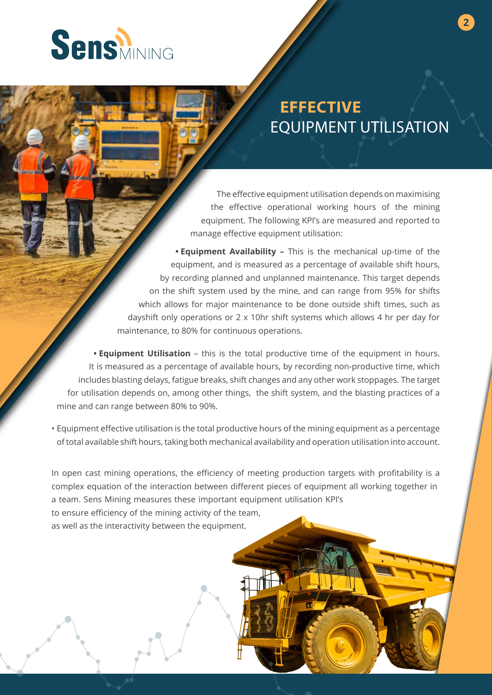

## **EFFECTIVE**  EQUIPMENT UTILISATION

The effective equipment utilisation depends on maximising the effective operational working hours of the mining equipment. The following KPI's are measured and reported to manage effective equipment utilisation:

**• Equipment Availability –** This is the mechanical up-time of the equipment, and is measured as a percentage of available shift hours, by recording planned and unplanned maintenance. This target depends on the shift system used by the mine, and can range from 95% for shifts which allows for major maintenance to be done outside shift times, such as dayshift only operations or 2 x 10hr shift systems which allows 4 hr per day for maintenance, to 80% for continuous operations.

**• Equipment Utilisation** – this is the total productive time of the equipment in hours. It is measured as a percentage of available hours, by recording non-productive time, which includes blasting delays, fatigue breaks, shift changes and any other work stoppages. The target for utilisation depends on, among other things, the shift system, and the blasting practices of a mine and can range between 80% to 90%.

• Equipment effective utilisation is the total productive hours of the mining equipment as a percentage of total available shift hours, taking both mechanical availability and operation utilisation into account.

In open cast mining operations, the efficiency of meeting production targets with profitability is a complex equation of the interaction between different pieces of equipment all working together in a team. Sens Mining measures these important equipment utilisation KPI's to ensure efficiency of the mining activity of the team,

as well as the interactivity between the equipment.